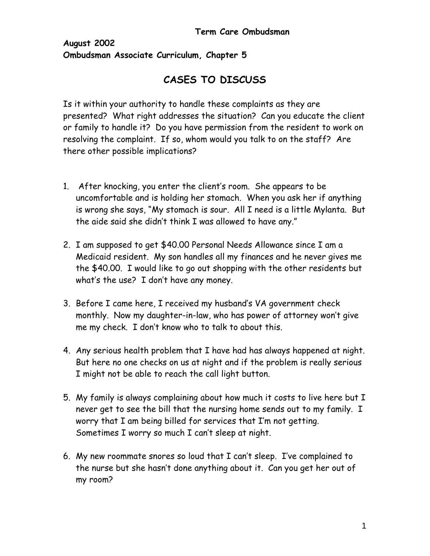# **CASES TO DISCUSS**

Is it within your authority to handle these complaints as they are presented? What right addresses the situation? Can you educate the client or family to handle it? Do you have permission from the resident to work on resolving the complaint. If so, whom would you talk to on the staff? Are there other possible implications?

- 1. After knocking, you enter the client's room. She appears to be uncomfortable and is holding her stomach. When you ask her if anything is wrong she says, "My stomach is sour. All I need is a little Mylanta. But the aide said she didn't think I was allowed to have any."
- 2. I am supposed to get \$40.00 Personal Needs Allowance since I am a Medicaid resident. My son handles all my finances and he never gives me the \$40.00. I would like to go out shopping with the other residents but what's the use? I don't have any money.
- 3. Before I came here, I received my husband's VA government check monthly. Now my daughter-in-law, who has power of attorney won't give me my check. I don't know who to talk to about this.
- 4. Any serious health problem that I have had has always happened at night. But here no one checks on us at night and if the problem is really serious I might not be able to reach the call light button.
- 5. My family is always complaining about how much it costs to live here but I never get to see the bill that the nursing home sends out to my family. I worry that I am being billed for services that I'm not getting. Sometimes I worry so much I can't sleep at night.
- 6. My new roommate snores so loud that I can't sleep. I've complained to the nurse but she hasn't done anything about it. Can you get her out of my room?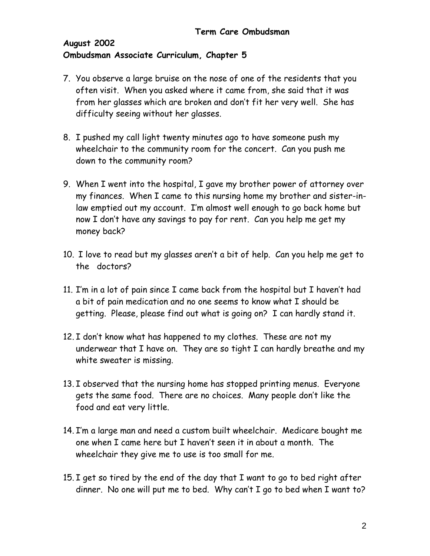- 7. You observe a large bruise on the nose of one of the residents that you often visit. When you asked where it came from, she said that it was from her glasses which are broken and don't fit her very well. She has difficulty seeing without her glasses.
- 8. I pushed my call light twenty minutes ago to have someone push my wheelchair to the community room for the concert. Can you push me down to the community room?
- 9. When I went into the hospital, I gave my brother power of attorney over my finances. When I came to this nursing home my brother and sister-inlaw emptied out my account. I'm almost well enough to go back home but now I don't have any savings to pay for rent. Can you help me get my money back?
- 10. I love to read but my glasses aren't a bit of help. Can you help me get to the doctors?
- 11. I'm in a lot of pain since I came back from the hospital but I haven't had a bit of pain medication and no one seems to know what I should be getting. Please, please find out what is going on? I can hardly stand it.
- 12. I don't know what has happened to my clothes. These are not my underwear that I have on. They are so tight I can hardly breathe and my white sweater is missing.
- 13. I observed that the nursing home has stopped printing menus. Everyone gets the same food. There are no choices. Many people don't like the food and eat very little.
- 14. I'm a large man and need a custom built wheelchair. Medicare bought me one when I came here but I haven't seen it in about a month. The wheelchair they give me to use is too small for me.
- 15. I get so tired by the end of the day that I want to go to bed right after dinner. No one will put me to bed. Why can't I go to bed when I want to?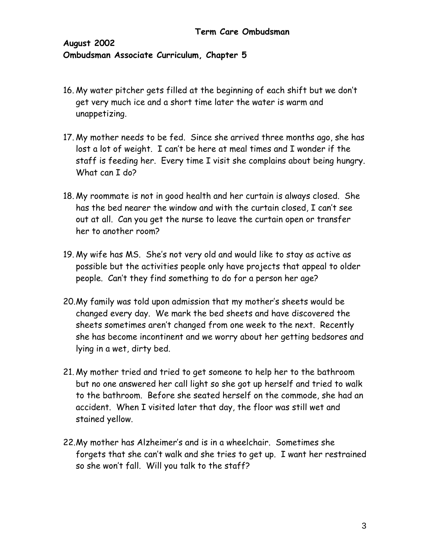- 16. My water pitcher gets filled at the beginning of each shift but we don't get very much ice and a short time later the water is warm and unappetizing.
- 17. My mother needs to be fed. Since she arrived three months ago, she has lost a lot of weight. I can't be here at meal times and I wonder if the staff is feeding her. Every time I visit she complains about being hungry. What can I do?
- 18. My roommate is not in good health and her curtain is always closed. She has the bed nearer the window and with the curtain closed, I can't see out at all. Can you get the nurse to leave the curtain open or transfer her to another room?
- 19. My wife has MS. She's not very old and would like to stay as active as possible but the activities people only have projects that appeal to older people. Can't they find something to do for a person her age?
- 20.My family was told upon admission that my mother's sheets would be changed every day. We mark the bed sheets and have discovered the sheets sometimes aren't changed from one week to the next. Recently she has become incontinent and we worry about her getting bedsores and lying in a wet, dirty bed.
- 21. My mother tried and tried to get someone to help her to the bathroom but no one answered her call light so she got up herself and tried to walk to the bathroom. Before she seated herself on the commode, she had an accident. When I visited later that day, the floor was still wet and stained yellow.
- 22.My mother has Alzheimer's and is in a wheelchair. Sometimes she forgets that she can't walk and she tries to get up. I want her restrained so she won't fall. Will you talk to the staff?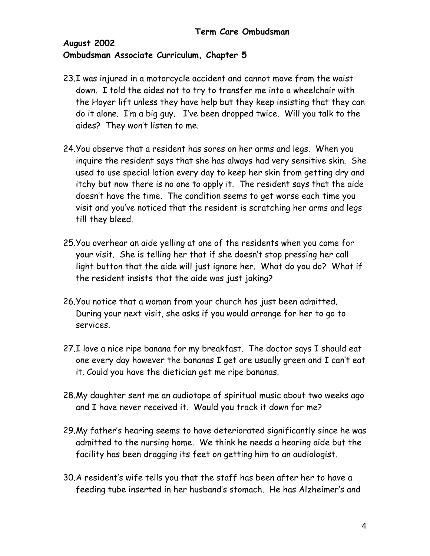- 23.I was injured in a motorcycle accident and cannot move from the waist down. I told the aides not to try to transfer me into a wheelchair with the Hoyer lift unless they have help but they keep insisting that they can do it alone. I'm a big guy. I've been dropped twice. Will you talk to the aides? They won't listen to me.
- 24.You observe that a resident has sores on her arms and legs. When you inquire the resident says that she has always had very sensitive skin. She used to use special lotion every day to keep her skin from getting dry and itchy but now there is no one to apply it. The resident says that the aide doesn't have the time. The condition seems to get worse each time you visit and you've noticed that the resident is scratching her arms and legs till they bleed.
- 25.You overhear an aide yelling at one of the residents when you come for your visit. She is telling her that if she doesn't stop pressing her call light button that the aide will just ignore her. What do you do? What if the resident insists that the aide was just joking?
- 26.You notice that a woman from your church has just been admitted. During your next visit, she asks if you would arrange for her to go to services.
- 27.I love a nice ripe banana for my breakfast. The doctor says I should eat one every day however the bananas I get are usually green and I can't eat it. Could you have the dietician get me ripe bananas.
- 28.My daughter sent me an audiotape of spiritual music about two weeks ago and I have never received it. Would you track it down for me?
- 29.My father's hearing seems to have deteriorated significantly since he was admitted to the nursing home. We think he needs a hearing aide but the facility has been dragging its feet on getting him to an audiologist.
- 30.A resident's wife tells you that the staff has been after her to have a feeding tube inserted in her husband's stomach. He has Alzheimer's and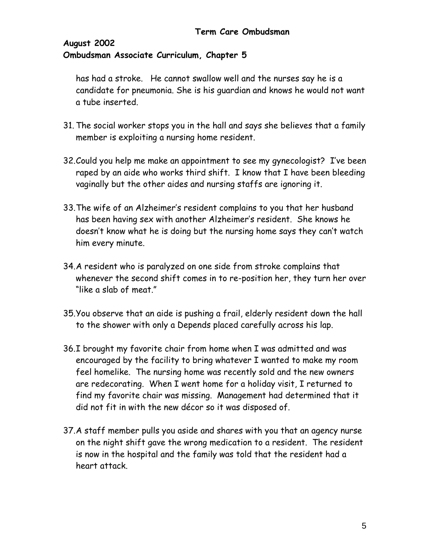has had a stroke. He cannot swallow well and the nurses say he is a candidate for pneumonia. She is his guardian and knows he would not want a tube inserted.

- 31. The social worker stops you in the hall and says she believes that a family member is exploiting a nursing home resident.
- 32.Could you help me make an appointment to see my gynecologist? I've been raped by an aide who works third shift. I know that I have been bleeding vaginally but the other aides and nursing staffs are ignoring it.
- 33.The wife of an Alzheimer's resident complains to you that her husband has been having sex with another Alzheimer's resident. She knows he doesn't know what he is doing but the nursing home says they can't watch him every minute.
- 34.A resident who is paralyzed on one side from stroke complains that whenever the second shift comes in to re-position her, they turn her over "like a slab of meat."
- 35.You observe that an aide is pushing a frail, elderly resident down the hall to the shower with only a Depends placed carefully across his lap.
- 36.I brought my favorite chair from home when I was admitted and was encouraged by the facility to bring whatever I wanted to make my room feel homelike. The nursing home was recently sold and the new owners are redecorating. When I went home for a holiday visit, I returned to find my favorite chair was missing. Management had determined that it did not fit in with the new décor so it was disposed of.
- 37.A staff member pulls you aside and shares with you that an agency nurse on the night shift gave the wrong medication to a resident. The resident is now in the hospital and the family was told that the resident had a heart attack.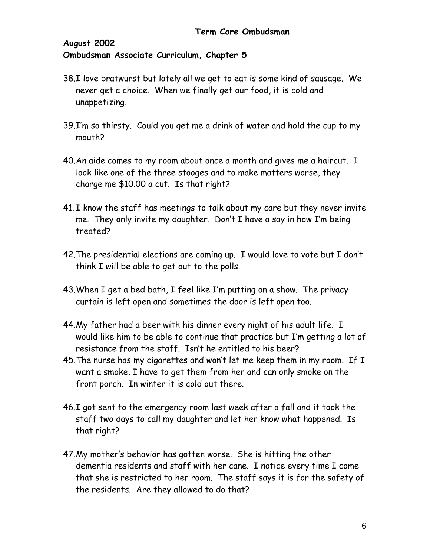- 38.I love bratwurst but lately all we get to eat is some kind of sausage. We never get a choice. When we finally get our food, it is cold and unappetizing.
- 39.I'm so thirsty. Could you get me a drink of water and hold the cup to my mouth?
- 40.An aide comes to my room about once a month and gives me a haircut. I look like one of the three stooges and to make matters worse, they charge me \$10.00 a cut. Is that right?
- 41. I know the staff has meetings to talk about my care but they never invite me. They only invite my daughter. Don't I have a say in how I'm being treated?
- 42.The presidential elections are coming up. I would love to vote but I don't think I will be able to get out to the polls.
- 43.When I get a bed bath, I feel like I'm putting on a show. The privacy curtain is left open and sometimes the door is left open too.
- 44.My father had a beer with his dinner every night of his adult life. I would like him to be able to continue that practice but I'm getting a lot of resistance from the staff. Isn't he entitled to his beer?
- 45.The nurse has my cigarettes and won't let me keep them in my room. If I want a smoke, I have to get them from her and can only smoke on the front porch. In winter it is cold out there.
- 46.I got sent to the emergency room last week after a fall and it took the staff two days to call my daughter and let her know what happened. Is that right?
- 47.My mother's behavior has gotten worse. She is hitting the other dementia residents and staff with her cane. I notice every time I come that she is restricted to her room. The staff says it is for the safety of the residents. Are they allowed to do that?